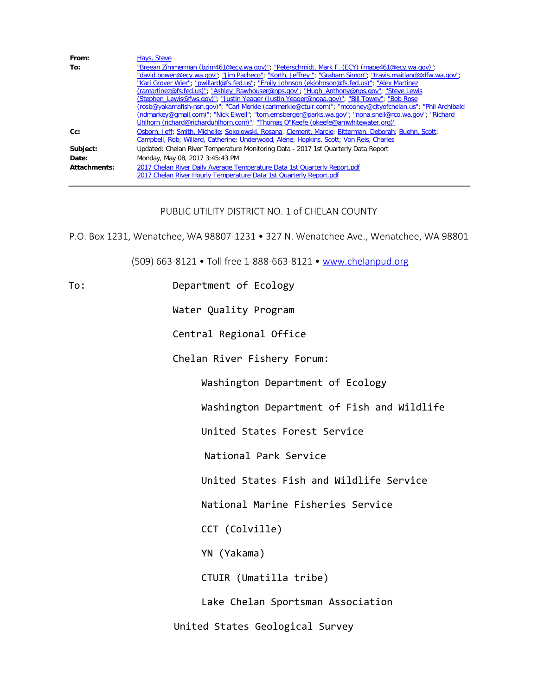| From:        | Hays, Steve                                                                                                  |
|--------------|--------------------------------------------------------------------------------------------------------------|
| To:          | "Breean Zimmerman (bzim461@ecy.wa.gov)"; "Peterschmidt, Mark F. (ECY) (mape461@ecy.wa.gov)";                 |
|              | "david.bowen@ecy.wa.gov"; "Jim Pacheco"; "Korth, Jeffrey "; "Graham Simon"; "travis.maitland@dfw.wa.gov";    |
|              | "Kari Grover Wier"; "pwillard@fs.fed.us"; "Emily Johnson (ekjohnson@fs.fed.us)"; "Alex Martinez              |
|              | (ramartinez@fs.fed.us)"; "Ashley Rawhouser@nps.gov"; "Hugh Anthony@nps.gov"; "Steve Lewis                    |
|              | (Stephen Lewis@fws.gov)"; "Justin Yeager (Justin.Yeager@noaa.gov)"; "Bill Towey"; "Bob Rose                  |
|              | (rosb@yakamafish-nsn.gov)"; "Carl Merkle (carlmerkle@ctuir.com)"; "mcooney@cityofchelan.us"; "Phil Archibald |
|              | (ndmarkey@qmail.com)"; "Nick Elwell"; "tom.ernsberger@parks.wa.gov"; "nona.snell@rco.wa.gov"; "Richard       |
|              | Uhlhorn (richard@richarduhlhorn.com)"; "Thomas O"Keefe (okeefe@amwhitewater.org)"                            |
| $Cc$ :       | Osborn, Jeff; Smith, Michelle; Sokolowski, Rosana; Clement, Marcie; Bitterman, Deborah; Buehn, Scott;        |
|              | Campbell, Rob; Willard, Catherine; Underwood, Alene; Hopkins, Scott; Von Reis, Charles                       |
| Subject:     | Updated: Chelan River Temperature Monitoring Data - 2017 1st Quarterly Data Report                           |
| Date:        | Monday, May 08, 2017 3:45:43 PM                                                                              |
| Attachments: | 2017 Chelan River Daily Average Temperature Data 1st Quarterly Report.pdf                                    |
|              | 2017 Chelan River Hourly Temperature Data 1st Quarterly Report.pdf                                           |

## PUBLIC UTILITY DISTRICT NO. 1 of CHELAN COUNTY

P.O. Box 1231, Wenatchee, WA 98807-1231 • 327 N. Wenatchee Ave., Wenatchee, WA 98801

(509) 663-8121 • Toll free 1-888-663-8121 • [www.chelanpud.org](http://www.chelanpud.org/)

To: Department of Ecology

Water Quality Program

Central Regional Office

Chelan River Fishery Forum:

Washington Department of Ecology

Washington Department of Fish and Wildlife

United States Forest Service

National Park Service

United States Fish and Wildlife Service

National Marine Fisheries Service

CCT (Colville)

YN (Yakama)

CTUIR (Umatilla tribe)

Lake Chelan Sportsman Association

United States Geological Survey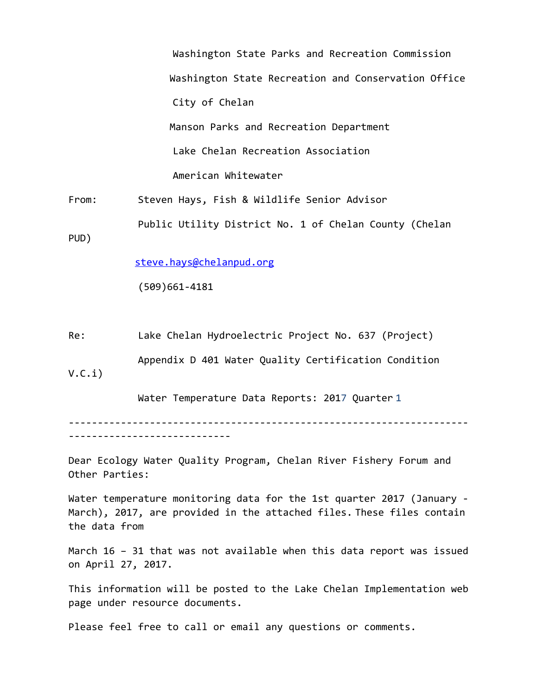Washington State Parks and Recreation Commission Washington State Recreation and Conservation Office City of Chelan Manson Parks and Recreation Department Lake Chelan Recreation Association American Whitewater

From: Steven Hays, Fish & Wildlife Senior Advisor Public Utility District No. 1 of Chelan County (Chelan

PUD)

[steve.hays@chelanpud.org](mailto:steve.hays@chelanpud.org)

(509)661-4181

Re: Lake Chelan Hydroelectric Project No. 637 (Project)

 Appendix D 401 Water Quality Certification Condition V.C.i)

Water Temperature Data Reports: 2017 Quarter 1

--------------------------------------------------------------------- ----------------------------

Dear Ecology Water Quality Program, Chelan River Fishery Forum and Other Parties:

Water temperature monitoring data for the 1st quarter 2017 (January - March), 2017, are provided in the attached files. These files contain the data from

March 16 – 31 that was not available when this data report was issued on April 27, 2017.

This information will be posted to the Lake Chelan Implementation web page under resource documents.

Please feel free to call or email any questions or comments.